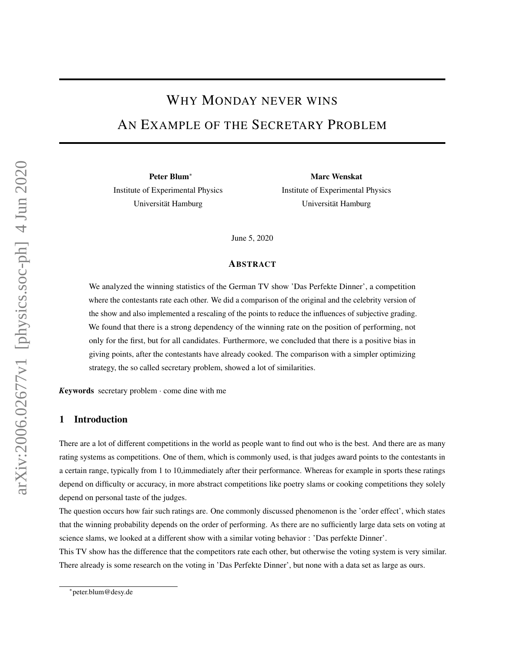# WHY MONDAY NEVER WINS

## AN EXAMPLE OF THE SECRETARY PROBLEM

Peter Blum<sup>∗</sup> Institute of Experimental Physics Universität Hamburg

Marc Wenskat Institute of Experimental Physics Universität Hamburg

June 5, 2020

#### ABSTRACT

We analyzed the winning statistics of the German TV show 'Das Perfekte Dinner', a competition where the contestants rate each other. We did a comparison of the original and the celebrity version of the show and also implemented a rescaling of the points to reduce the influences of subjective grading. We found that there is a strong dependency of the winning rate on the position of performing, not only for the first, but for all candidates. Furthermore, we concluded that there is a positive bias in giving points, after the contestants have already cooked. The comparison with a simpler optimizing strategy, the so called secretary problem, showed a lot of similarities.

*K*eywords secretary problem · come dine with me

#### 1 Introduction

There are a lot of different competitions in the world as people want to find out who is the best. And there are as many rating systems as competitions. One of them, which is commonly used, is that judges award points to the contestants in a certain range, typically from 1 to 10,immediately after their performance. Whereas for example in sports these ratings depend on difficulty or accuracy, in more abstract competitions like poetry slams or cooking competitions they solely depend on personal taste of the judges.

The question occurs how fair such ratings are. One commonly discussed phenomenon is the 'order effect', which states that the winning probability depends on the order of performing. As there are no sufficiently large data sets on voting at science slams, we looked at a different show with a similar voting behavior : 'Das perfekte Dinner'.

This TV show has the difference that the competitors rate each other, but otherwise the voting system is very similar. There already is some research on the voting in 'Das Perfekte Dinner', but none with a data set as large as ours.

<sup>∗</sup> peter.blum@desy.de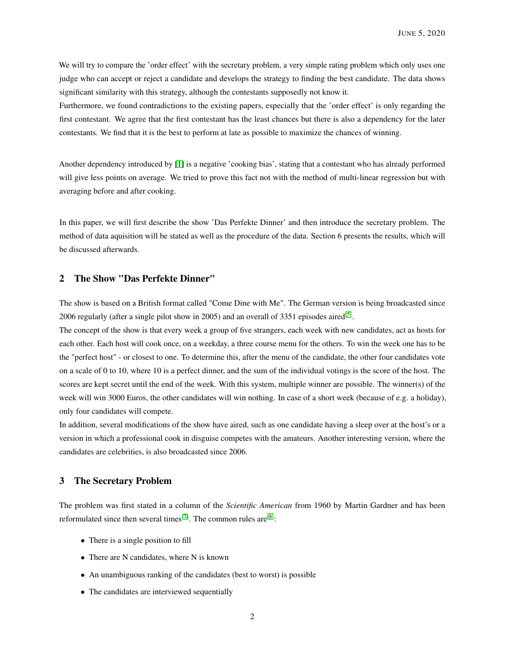We will try to compare the 'order effect' with the secretary problem, a very simple rating problem which only uses one judge who can accept or reject a candidate and develops the strategy to finding the best candidate. The data shows significant similarity with this strategy, although the contestants supposedly not know it.

Furthermore, we found contradictions to the existing papers, especially that the 'order effect' is only regarding the first contestant. We agree that the first contestant has the least chances but there is also a dependency for the later contestants. We find that it is the best to perform at late as possible to maximize the chances of winning.

Another dependency introduced by [\[1\]](#page-14-0) is a negative 'cooking bias', stating that a contestant who has already performed will give less points on average. We tried to prove this fact not with the method of multi-linear regression but with averaging before and after cooking.

In this paper, we will first describe the show 'Das Perfekte Dinner' and then introduce the secretary problem. The method of data aquisition will be stated as well as the procedure of the data. Section 6 presents the results, which will be discussed afterwards.

## 2 The Show "Das Perfekte Dinner"

The show is based on a British format called "Come Dine with Me". The German version is being broadcasted since 2006 regularly (after a single pilot show in 2005) and an overall of 3351 episodes aired<sup>[\[5\]](#page-14-1)</sup>.

The concept of the show is that every week a group of five strangers, each week with new candidates, act as hosts for each other. Each host will cook once, on a weekday, a three course menu for the others. To win the week one has to be the "perfect host" - or closest to one. To determine this, after the menu of the candidate, the other four candidates vote on a scale of 0 to 10, where 10 is a perfect dinner, and the sum of the individual votings is the score of the host. The scores are kept secret until the end of the week. With this system, multiple winner are possible. The winner(s) of the week will win 3000 Euros, the other candidates will win nothing. In case of a short week (because of e.g. a holiday), only four candidates will compete.

In addition, several modifications of the show have aired, such as one candidate having a sleep over at the host's or a version in which a professional cook in disguise competes with the amateurs. Another interesting version, where the candidates are celebrities, is also broadcasted since 2006.

## 3 The Secretary Problem

The problem was first stated in a column of the *Scientific American* from 1960 by Martin Gardner and has been reformulated since then several times<sup>[\[7\]](#page-14-2)</sup>. The common rules are<sup>[\[8\]](#page-14-3)</sup>:

- There is a single position to fill
- There are N candidates, where N is known
- An unambiguous ranking of the candidates (best to worst) is possible
- The candidates are interviewed sequentially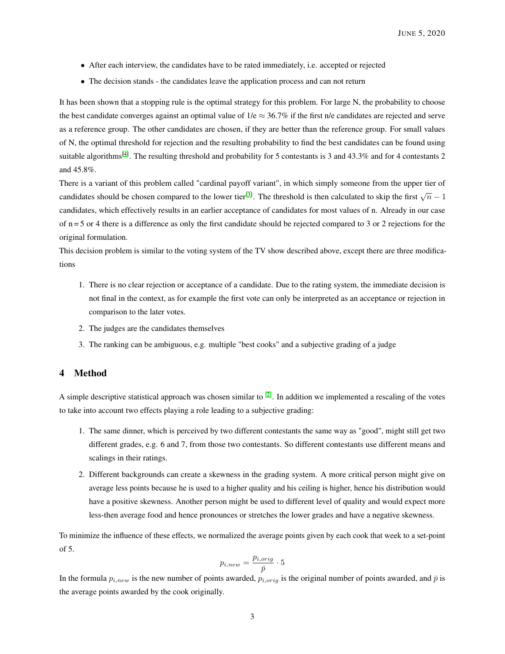- After each interview, the candidates have to be rated immediately, i.e. accepted or rejected
- The decision stands the candidates leave the application process and can not return

It has been shown that a stopping rule is the optimal strategy for this problem. For large N, the probability to choose the best candidate converges against an optimal value of  $1/e \approx 36.7\%$  if the first n/e candidates are rejected and serve as a reference group. The other candidates are chosen, if they are better than the reference group. For small values of N, the optimal threshold for rejection and the resulting probability to find the best candidates can be found using suitable algorithms<sup>[\[4\]](#page-14-4)</sup>. The resulting threshold and probability for 5 contestants is 3 and 43.3% and for 4 contestants 2 and 45.8%.

There is a variant of this problem called "cardinal payoff variant", in which simply someone from the upper tier of candidates should be chosen compared to the lower tier<sup>[\[3\]](#page-14-5)</sup>. The threshold is then calculated to skip the first  $\sqrt{n} - 1$ candidates, which effectively results in an earlier acceptance of candidates for most values of n. Already in our case of  $n = 5$  or 4 there is a difference as only the first candidate should be rejected compared to 3 or 2 rejections for the original formulation.

This decision problem is similar to the voting system of the TV show described above, except there are three modifications

- 1. There is no clear rejection or acceptance of a candidate. Due to the rating system, the immediate decision is not final in the context, as for example the first vote can only be interpreted as an acceptance or rejection in comparison to the later votes.
- 2. The judges are the candidates themselves
- 3. The ranking can be ambiguous, e.g. multiple "best cooks" and a subjective grading of a judge

## <span id="page-2-0"></span>4 Method

A simple descriptive statistical approach was chosen similar to  $[2]$ . In addition we implemented a rescaling of the votes to take into account two effects playing a role leading to a subjective grading:

- 1. The same dinner, which is perceived by two different contestants the same way as "good", might still get two different grades, e.g. 6 and 7, from those two contestants. So different contestants use different means and scalings in their ratings.
- 2. Different backgrounds can create a skewness in the grading system. A more critical person might give on average less points because he is used to a higher quality and his ceiling is higher, hence his distribution would have a positive skewness. Another person might be used to different level of quality and would expect more less-then average food and hence pronounces or stretches the lower grades and have a negative skewness.

To minimize the influence of these effects, we normalized the average points given by each cook that week to a set-point of 5.

$$
p_{i,new} = \frac{p_{i,orig}}{\bar{p}} \cdot 5
$$

In the formula  $p_{i,new}$  is the new number of points awarded,  $p_{i,orig}$  is the original number of points awarded, and  $\bar{p}$  is the average points awarded by the cook originally.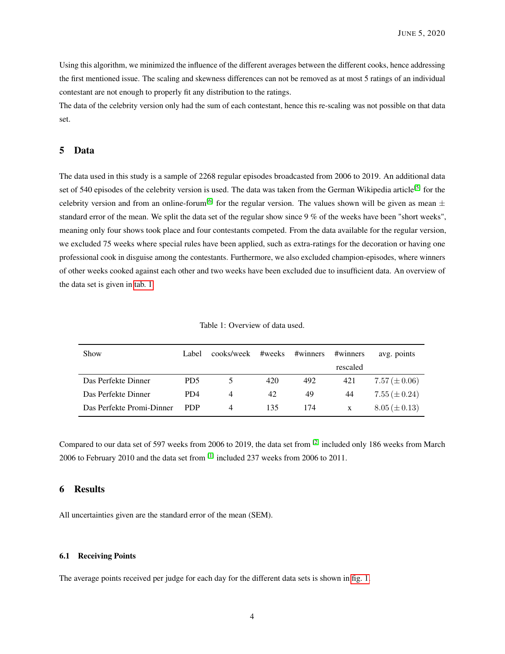Using this algorithm, we minimized the influence of the different averages between the different cooks, hence addressing the first mentioned issue. The scaling and skewness differences can not be removed as at most 5 ratings of an individual contestant are not enough to properly fit any distribution to the ratings.

The data of the celebrity version only had the sum of each contestant, hence this re-scaling was not possible on that data set.

### 5 Data

The data used in this study is a sample of 2268 regular episodes broadcasted from 2006 to 2019. An additional data set of 540 episodes of the celebrity version is used. The data was taken from the German Wikipedia article<sup>[\[5\]](#page-14-1)</sup> for the celebrity version and from an online-forum<sup>[\[6\]](#page-14-7)</sup> for the regular version. The values shown will be given as mean  $\pm$ standard error of the mean. We split the data set of the regular show since 9 % of the weeks have been "short weeks", meaning only four shows took place and four contestants competed. From the data available for the regular version, we excluded 75 weeks where special rules have been applied, such as extra-ratings for the decoration or having one professional cook in disguise among the contestants. Furthermore, we also excluded champion-episodes, where winners of other weeks cooked against each other and two weeks have been excluded due to insufficient data. An overview of the data set is given in [tab. 1](#page-3-0)

| Table 1: Overview of data used. |  |
|---------------------------------|--|
|                                 |  |

<span id="page-3-0"></span>

| Show                      | Label.                      | cooks/week | #weeks | #winners | #winners | avg. points       |
|---------------------------|-----------------------------|------------|--------|----------|----------|-------------------|
|                           |                             |            |        |          | rescaled |                   |
| Das Perfekte Dinner       | PD <sub>5</sub>             | 5.         | 420    | 492      | 421      | $7.57 (\pm 0.06)$ |
| Das Perfekte Dinner       | P <sub>D</sub> <sub>4</sub> | 4          | 42     | 49       | 44       | $7.55 (\pm 0.24)$ |
| Das Perfekte Promi-Dinner | <b>PDP</b>                  | 4          | 135    | 174      | X        | $8.05 (\pm 0.13)$ |

Compared to our data set of 597 weeks from 2006 to 2019, the data set from  $^{[2]}$  $^{[2]}$  $^{[2]}$  included only 186 weeks from March 2006 to February 2010 and the data set from [\[1\]](#page-14-0) included 237 weeks from 2006 to 2011.

#### 6 Results

All uncertainties given are the standard error of the mean (SEM).

#### <span id="page-3-1"></span>6.1 Receiving Points

The average points received per judge for each day for the different data sets is shown in [fig. 1.](#page-4-0)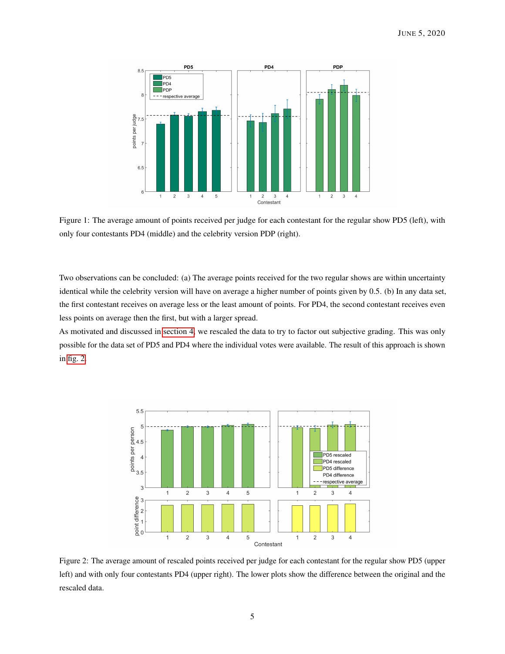<span id="page-4-0"></span>

Figure 1: The average amount of points received per judge for each contestant for the regular show PD5 (left), with only four contestants PD4 (middle) and the celebrity version PDP (right).

Two observations can be concluded: (a) The average points received for the two regular shows are within uncertainty identical while the celebrity version will have on average a higher number of points given by 0.5. (b) In any data set, the first contestant receives on average less or the least amount of points. For PD4, the second contestant receives even less points on average then the first, but with a larger spread.

As motivated and discussed in [section 4,](#page-2-0) we rescaled the data to try to factor out subjective grading. This was only possible for the data set of PD5 and PD4 where the individual votes were available. The result of this approach is shown in [fig. 2.](#page-4-1)

<span id="page-4-1"></span>

Figure 2: The average amount of rescaled points received per judge for each contestant for the regular show PD5 (upper left) and with only four contestants PD4 (upper right). The lower plots show the difference between the original and the rescaled data.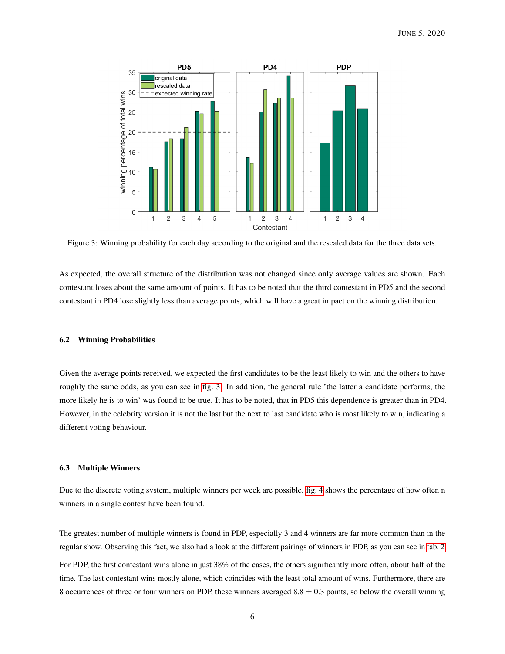<span id="page-5-0"></span>

Figure 3: Winning probability for each day according to the original and the rescaled data for the three data sets.

As expected, the overall structure of the distribution was not changed since only average values are shown. Each contestant loses about the same amount of points. It has to be noted that the third contestant in PD5 and the second contestant in PD4 lose slightly less than average points, which will have a great impact on the winning distribution.

#### 6.2 Winning Probabilities

Given the average points received, we expected the first candidates to be the least likely to win and the others to have roughly the same odds, as you can see in [fig. 3.](#page-5-0) In addition, the general rule 'the latter a candidate performs, the more likely he is to win' was found to be true. It has to be noted, that in PD5 this dependence is greater than in PD4. However, in the celebrity version it is not the last but the next to last candidate who is most likely to win, indicating a different voting behaviour.

#### 6.3 Multiple Winners

Due to the discrete voting system, multiple winners per week are possible. [fig. 4](#page-6-0) shows the percentage of how often n winners in a single contest have been found.

The greatest number of multiple winners is found in PDP, especially 3 and 4 winners are far more common than in the regular show. Observing this fact, we also had a look at the different pairings of winners in PDP, as you can see in [tab. 2.](#page-6-1)

For PDP, the first contestant wins alone in just 38% of the cases, the others significantly more often, about half of the time. The last contestant wins mostly alone, which coincides with the least total amount of wins. Furthermore, there are 8 occurrences of three or four winners on PDP, these winners averaged  $8.8 \pm 0.3$  points, so below the overall winning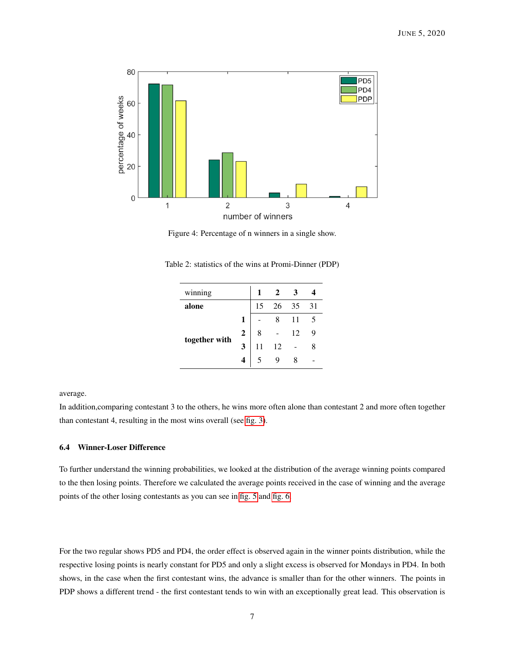<span id="page-6-0"></span>

Figure 4: Percentage of n winners in a single show.

| winning       |   |    |    |     |    |
|---------------|---|----|----|-----|----|
| alone         |   | 15 | 26 | 35  | 31 |
| together with |   |    |    | -11 | 5  |
|               | 2 | 8  |    | 12  | 9  |
|               | 3 |    | 12 |     | 8  |
|               |   |    |    |     |    |

<span id="page-6-1"></span>Table 2: statistics of the wins at Promi-Dinner (PDP)

average.

In addition,comparing contestant 3 to the others, he wins more often alone than contestant 2 and more often together than contestant 4, resulting in the most wins overall (see [fig. 3\)](#page-5-0).

### 6.4 Winner-Loser Difference

To further understand the winning probabilities, we looked at the distribution of the average winning points compared to the then losing points. Therefore we calculated the average points received in the case of winning and the average points of the other losing contestants as you can see in [fig. 5](#page-7-0) and [fig. 6.](#page-7-1)

For the two regular shows PD5 and PD4, the order effect is observed again in the winner points distribution, while the respective losing points is nearly constant for PD5 and only a slight excess is observed for Mondays in PD4. In both shows, in the case when the first contestant wins, the advance is smaller than for the other winners. The points in PDP shows a different trend - the first contestant tends to win with an exceptionally great lead. This observation is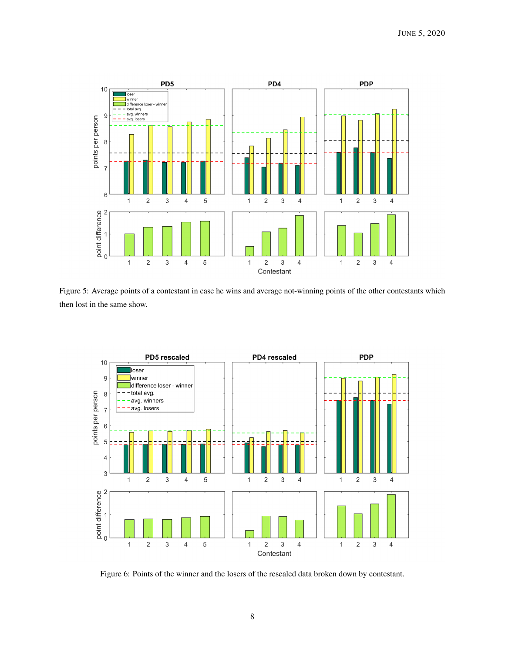<span id="page-7-0"></span>

Figure 5: Average points of a contestant in case he wins and average not-winning points of the other contestants which then lost in the same show.

<span id="page-7-1"></span>

Figure 6: Points of the winner and the losers of the rescaled data broken down by contestant.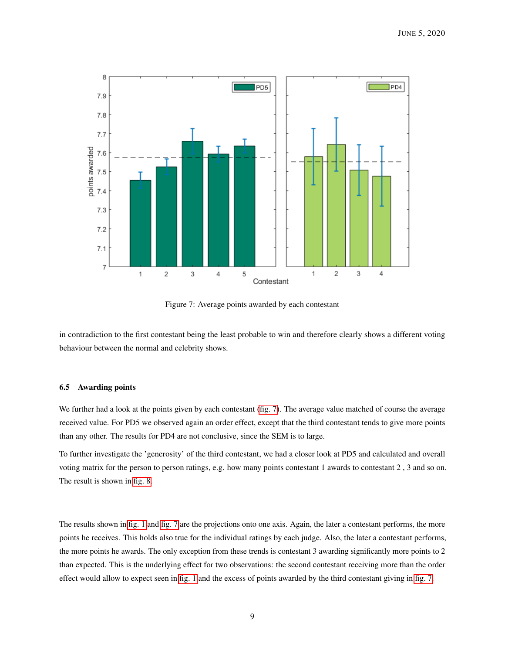<span id="page-8-0"></span>

Figure 7: Average points awarded by each contestant

in contradiction to the first contestant being the least probable to win and therefore clearly shows a different voting behaviour between the normal and celebrity shows.

#### 6.5 Awarding points

We further had a look at the points given by each contestant [\(fig. 7\)](#page-8-0). The average value matched of course the average received value. For PD5 we observed again an order effect, except that the third contestant tends to give more points than any other. The results for PD4 are not conclusive, since the SEM is to large.

To further investigate the 'generosity' of the third contestant, we had a closer look at PD5 and calculated and overall voting matrix for the person to person ratings, e.g. how many points contestant 1 awards to contestant 2 , 3 and so on. The result is shown in [fig. 8.](#page-9-0)

The results shown in [fig. 1](#page-4-0) and [fig. 7](#page-8-0) are the projections onto one axis. Again, the later a contestant performs, the more points he receives. This holds also true for the individual ratings by each judge. Also, the later a contestant performs, the more points he awards. The only exception from these trends is contestant 3 awarding significantly more points to 2 than expected. This is the underlying effect for two observations: the second contestant receiving more than the order effect would allow to expect seen in [fig. 1](#page-4-0) and the excess of points awarded by the third contestant giving in [fig. 7.](#page-8-0)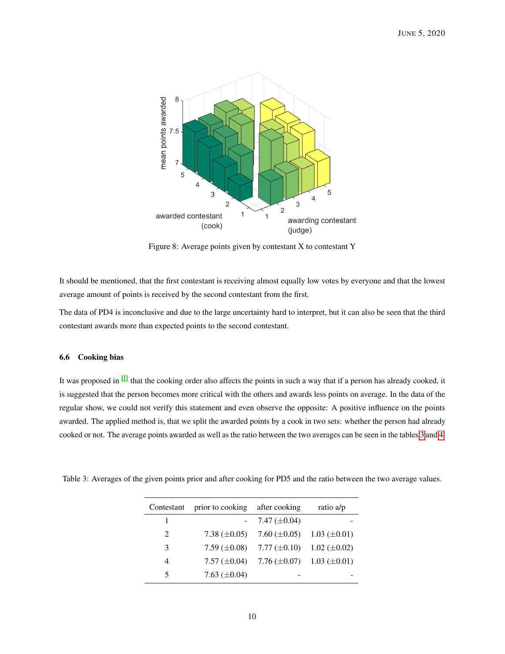<span id="page-9-0"></span>

Figure 8: Average points given by contestant X to contestant Y

It should be mentioned, that the first contestant is receiving almost equally low votes by everyone and that the lowest average amount of points is received by the second contestant from the first.

The data of PD4 is inconclusive and due to the large uncertainty hard to interpret, but it can also be seen that the third contestant awards more than expected points to the second contestant.

#### 6.6 Cooking bias

It was proposed in [\[1\]](#page-14-0) that the cooking order also affects the points in such a way that if a person has already cooked, it is suggested that the person becomes more critical with the others and awards less points on average. In the data of the regular show, we could not verify this statement and even observe the opposite: A positive influence on the points awarded. The applied method is, that we split the awarded points by a cook in two sets: whether the person had already cooked or not. The average points awarded as well as the ratio between the two averages can be seen in the tables [3](#page-9-1) and [4.](#page-10-0)

| Contestant                  | prior to cooking  | after cooking      | ratio a/p           |
|-----------------------------|-------------------|--------------------|---------------------|
|                             |                   | 7.47 $(\pm 0.04)$  |                     |
| $\mathcal{D}_{\mathcal{L}}$ | 7.38 $(\pm 0.05)$ | 7.60 ( $\pm$ 0.05) | $1.03 \ (\pm 0.01)$ |
| 3                           | 7.59 $(\pm 0.08)$ | 7.77 $(\pm 0.10)$  | 1.02 ( $\pm$ 0.02)  |
| 4                           | 7.57 $(\pm 0.04)$ | 7.76 $(\pm 0.07)$  | $1.03 \ (\pm 0.01)$ |
| 5                           | 7.63 $(\pm 0.04)$ |                    |                     |

<span id="page-9-1"></span>Table 3: Averages of the given points prior and after cooking for PD5 and the ratio between the two average values.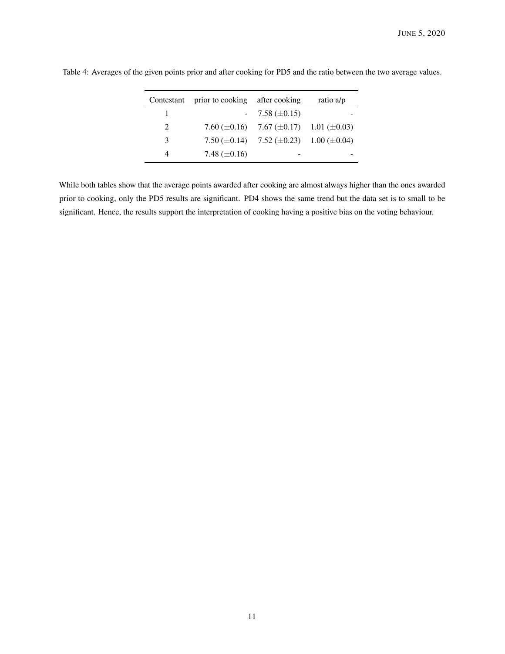| Contestant | prior to cooking after cooking |                                                       | ratio a/p |
|------------|--------------------------------|-------------------------------------------------------|-----------|
|            |                                | $-7.58 \ (\pm 0.15)$                                  |           |
| $2^{1}$    |                                | 7.60 $(\pm 0.16)$ 7.67 $(\pm 0.17)$ 1.01 $(\pm 0.03)$ |           |
| 3          |                                | 7.50 $(\pm 0.14)$ 7.52 $(\pm 0.23)$ 1.00 $(\pm 0.04)$ |           |
| 4          | 7.48 $(\pm 0.16)$              |                                                       |           |

<span id="page-10-0"></span>Table 4: Averages of the given points prior and after cooking for PD5 and the ratio between the two average values.

While both tables show that the average points awarded after cooking are almost always higher than the ones awarded prior to cooking, only the PD5 results are significant. PD4 shows the same trend but the data set is to small to be significant. Hence, the results support the interpretation of cooking having a positive bias on the voting behaviour.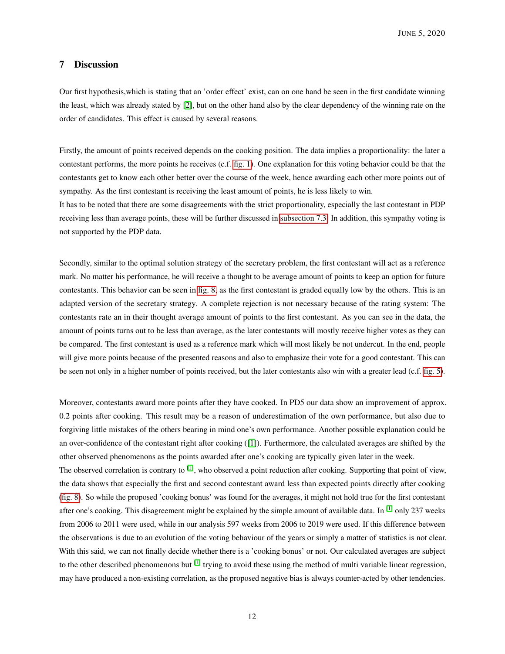## 7 Discussion

Our first hypothesis,which is stating that an 'order effect' exist, can on one hand be seen in the first candidate winning the least, which was already stated by [\[2\]](#page-14-6), but on the other hand also by the clear dependency of the winning rate on the order of candidates. This effect is caused by several reasons.

Firstly, the amount of points received depends on the cooking position. The data implies a proportionality: the later a contestant performs, the more points he receives (c.f. [fig. 1\)](#page-4-0). One explanation for this voting behavior could be that the contestants get to know each other better over the course of the week, hence awarding each other more points out of sympathy. As the first contestant is receiving the least amount of points, he is less likely to win.

It has to be noted that there are some disagreements with the strict proportionality, especially the last contestant in PDP receiving less than average points, these will be further discussed in [subsection 7.3.](#page-13-0) In addition, this sympathy voting is not supported by the PDP data.

Secondly, similar to the optimal solution strategy of the secretary problem, the first contestant will act as a reference mark. No matter his performance, he will receive a thought to be average amount of points to keep an option for future contestants. This behavior can be seen in [fig. 8,](#page-9-0) as the first contestant is graded equally low by the others. This is an adapted version of the secretary strategy. A complete rejection is not necessary because of the rating system: The contestants rate an in their thought average amount of points to the first contestant. As you can see in the data, the amount of points turns out to be less than average, as the later contestants will mostly receive higher votes as they can be compared. The first contestant is used as a reference mark which will most likely be not undercut. In the end, people will give more points because of the presented reasons and also to emphasize their vote for a good contestant. This can be seen not only in a higher number of points received, but the later contestants also win with a greater lead (c.f. [fig. 5\)](#page-7-0).

Moreover, contestants award more points after they have cooked. In PD5 our data show an improvement of approx. 0.2 points after cooking. This result may be a reason of underestimation of the own performance, but also due to forgiving little mistakes of the others bearing in mind one's own performance. Another possible explanation could be an over-confidence of the contestant right after cooking ([\[1\]](#page-14-0)). Furthermore, the calculated averages are shifted by the other observed phenomenons as the points awarded after one's cooking are typically given later in the week.

The observed correlation is contrary to  $^{[1]}$  $^{[1]}$  $^{[1]}$ , who observed a point reduction after cooking. Supporting that point of view, the data shows that especially the first and second contestant award less than expected points directly after cooking [\(fig. 8\)](#page-9-0). So while the proposed 'cooking bonus' was found for the averages, it might not hold true for the first contestant after one's cooking. This disagreement might be explained by the simple amount of available data. In [\[1\]](#page-14-0) only 237 weeks from 2006 to 2011 were used, while in our analysis 597 weeks from 2006 to 2019 were used. If this difference between the observations is due to an evolution of the voting behaviour of the years or simply a matter of statistics is not clear. With this said, we can not finally decide whether there is a 'cooking bonus' or not. Our calculated averages are subject to the other described phenomenons but  $^{[1]}$  $^{[1]}$  $^{[1]}$  trying to avoid these using the method of multi variable linear regression, may have produced a non-existing correlation, as the proposed negative bias is always counter-acted by other tendencies.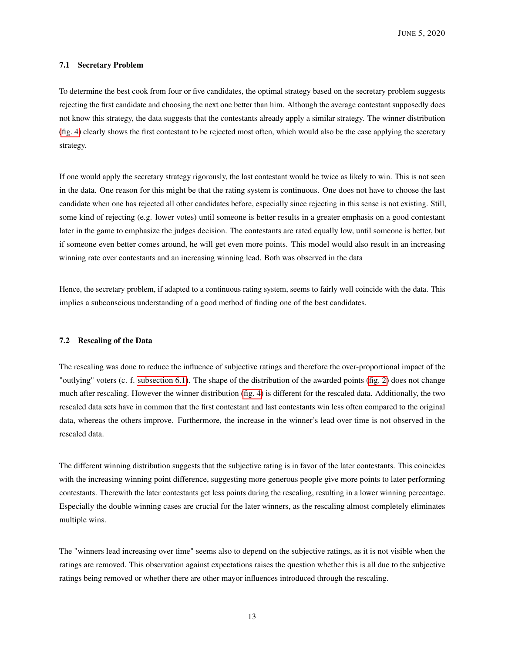JUNE 5, 2020

#### 7.1 Secretary Problem

To determine the best cook from four or five candidates, the optimal strategy based on the secretary problem suggests rejecting the first candidate and choosing the next one better than him. Although the average contestant supposedly does not know this strategy, the data suggests that the contestants already apply a similar strategy. The winner distribution [\(fig. 4\)](#page-6-0) clearly shows the first contestant to be rejected most often, which would also be the case applying the secretary strategy.

If one would apply the secretary strategy rigorously, the last contestant would be twice as likely to win. This is not seen in the data. One reason for this might be that the rating system is continuous. One does not have to choose the last candidate when one has rejected all other candidates before, especially since rejecting in this sense is not existing. Still, some kind of rejecting (e.g. lower votes) until someone is better results in a greater emphasis on a good contestant later in the game to emphasize the judges decision. The contestants are rated equally low, until someone is better, but if someone even better comes around, he will get even more points. This model would also result in an increasing winning rate over contestants and an increasing winning lead. Both was observed in the data

Hence, the secretary problem, if adapted to a continuous rating system, seems to fairly well coincide with the data. This implies a subconscious understanding of a good method of finding one of the best candidates.

#### 7.2 Rescaling of the Data

The rescaling was done to reduce the influence of subjective ratings and therefore the over-proportional impact of the "outlying" voters (c. f. [subsection 6.1\)](#page-3-1). The shape of the distribution of the awarded points [\(fig. 2\)](#page-4-1) does not change much after rescaling. However the winner distribution [\(fig. 4\)](#page-6-0) is different for the rescaled data. Additionally, the two rescaled data sets have in common that the first contestant and last contestants win less often compared to the original data, whereas the others improve. Furthermore, the increase in the winner's lead over time is not observed in the rescaled data.

The different winning distribution suggests that the subjective rating is in favor of the later contestants. This coincides with the increasing winning point difference, suggesting more generous people give more points to later performing contestants. Therewith the later contestants get less points during the rescaling, resulting in a lower winning percentage. Especially the double winning cases are crucial for the later winners, as the rescaling almost completely eliminates multiple wins.

The "winners lead increasing over time" seems also to depend on the subjective ratings, as it is not visible when the ratings are removed. This observation against expectations raises the question whether this is all due to the subjective ratings being removed or whether there are other mayor influences introduced through the rescaling.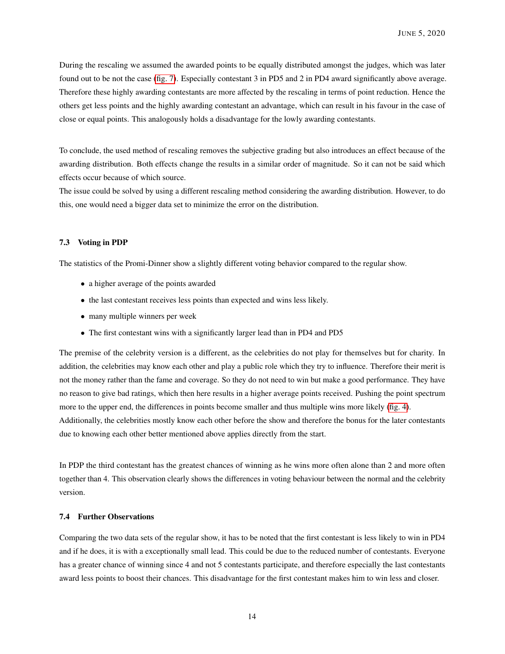During the rescaling we assumed the awarded points to be equally distributed amongst the judges, which was later found out to be not the case [\(fig. 7\)](#page-8-0). Especially contestant 3 in PD5 and 2 in PD4 award significantly above average. Therefore these highly awarding contestants are more affected by the rescaling in terms of point reduction. Hence the others get less points and the highly awarding contestant an advantage, which can result in his favour in the case of close or equal points. This analogously holds a disadvantage for the lowly awarding contestants.

To conclude, the used method of rescaling removes the subjective grading but also introduces an effect because of the awarding distribution. Both effects change the results in a similar order of magnitude. So it can not be said which effects occur because of which source.

The issue could be solved by using a different rescaling method considering the awarding distribution. However, to do this, one would need a bigger data set to minimize the error on the distribution.

#### <span id="page-13-0"></span>7.3 Voting in PDP

The statistics of the Promi-Dinner show a slightly different voting behavior compared to the regular show.

- a higher average of the points awarded
- the last contestant receives less points than expected and wins less likely.
- many multiple winners per week
- The first contestant wins with a significantly larger lead than in PD4 and PD5

The premise of the celebrity version is a different, as the celebrities do not play for themselves but for charity. In addition, the celebrities may know each other and play a public role which they try to influence. Therefore their merit is not the money rather than the fame and coverage. So they do not need to win but make a good performance. They have no reason to give bad ratings, which then here results in a higher average points received. Pushing the point spectrum more to the upper end, the differences in points become smaller and thus multiple wins more likely [\(fig. 4\)](#page-6-0). Additionally, the celebrities mostly know each other before the show and therefore the bonus for the later contestants due to knowing each other better mentioned above applies directly from the start.

In PDP the third contestant has the greatest chances of winning as he wins more often alone than 2 and more often together than 4. This observation clearly shows the differences in voting behaviour between the normal and the celebrity version.

## 7.4 Further Observations

Comparing the two data sets of the regular show, it has to be noted that the first contestant is less likely to win in PD4 and if he does, it is with a exceptionally small lead. This could be due to the reduced number of contestants. Everyone has a greater chance of winning since 4 and not 5 contestants participate, and therefore especially the last contestants award less points to boost their chances. This disadvantage for the first contestant makes him to win less and closer.